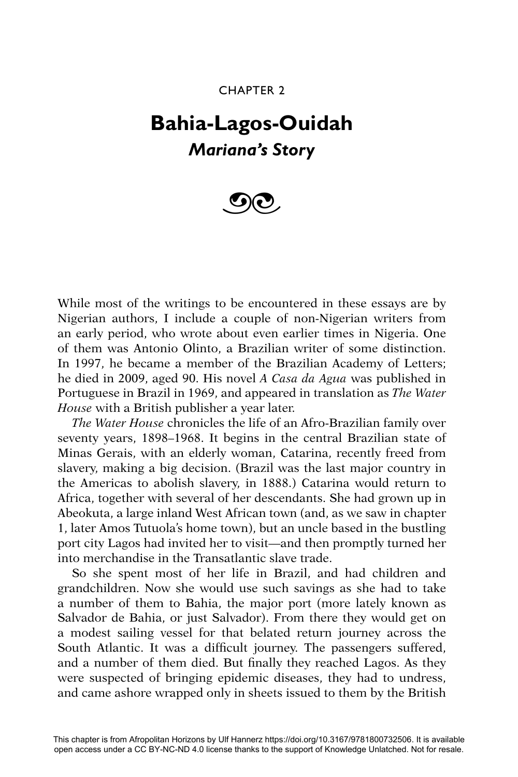## CHAPTER 2

## **Bahia-Lagos-Ouidah** *Mariana's Story*



While most of the writings to be encountered in these essays are by Nigerian authors, I include a couple of non-Nigerian writers from an early period, who wrote about even earlier times in Nigeria. One of them was Antonio Olinto, a Brazilian writer of some distinction. In 1997, he became a member of the Brazilian Academy of Letters; he died in 2009, aged 90. His novel *A Casa da Agua* was published in Portuguese in Brazil in 1969, and appeared in translation as *The Water House* with a British publisher a year later.

*The Water House* chronicles the life of an Afro-Brazilian family over seventy years, 1898–1968. It begins in the central Brazilian state of Minas Gerais, with an elderly woman, Catarina, recently freed from slavery, making a big decision. (Brazil was the last major country in the Americas to abolish slavery, in 1888.) Catarina would return to Africa, together with several of her descendants. She had grown up in Abeokuta, a large inland West African town (and, as we saw in chapter 1, later Amos Tutuola's home town), but an uncle based in the bustling port city Lagos had invited her to visit—and then promptly turned her into merchandise in the Transatlantic slave trade.

So she spent most of her life in Brazil, and had children and grandchildren. Now she would use such savings as she had to take a number of them to Bahia, the major port (more lately known as Salvador de Bahia, or just Salvador). From there they would get on a modest sailing vessel for that belated return journey across the South Atlantic. It was a difficult journey. The passengers suffered, and a number of them died. But finally they reached Lagos. As they were suspected of bringing epidemic diseases, they had to undress, and came ashore wrapped only in sheets issued to them by the British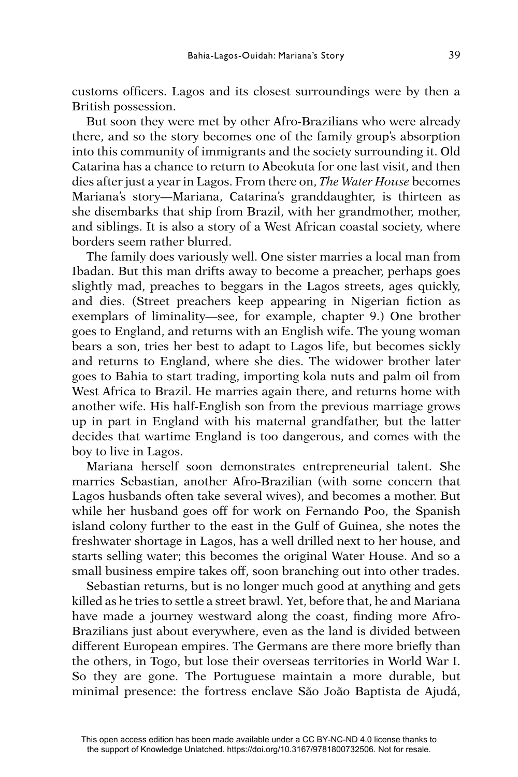customs officers. Lagos and its closest surroundings were by then a British possession.

But soon they were met by other Afro-Brazilians who were already there, and so the story becomes one of the family group's absorption into this community of immigrants and the society surrounding it. Old Catarina has a chance to return to Abeokuta for one last visit, and then dies after just a year in Lagos. From there on, *The Water House* becomes Mariana's story—Mariana, Catarina's granddaughter, is thirteen as she disembarks that ship from Brazil, with her grandmother, mother, and siblings. It is also a story of a West African coastal society, where borders seem rather blurred.

The family does variously well. One sister marries a local man from Ibadan. But this man drifts away to become a preacher, perhaps goes slightly mad, preaches to beggars in the Lagos streets, ages quickly, and dies. (Street preachers keep appearing in Nigerian fiction as exemplars of liminality—see, for example, chapter 9.) One brother goes to England, and returns with an English wife. The young woman bears a son, tries her best to adapt to Lagos life, but becomes sickly and returns to England, where she dies. The widower brother later goes to Bahia to start trading, importing kola nuts and palm oil from West Africa to Brazil. He marries again there, and returns home with another wife. His half-English son from the previous marriage grows up in part in England with his maternal grandfather, but the latter decides that wartime England is too dangerous, and comes with the boy to live in Lagos.

Mariana herself soon demonstrates entrepreneurial talent. She marries Sebastian, another Afro-Brazilian (with some concern that Lagos husbands often take several wives), and becomes a mother. But while her husband goes off for work on Fernando Poo, the Spanish island colony further to the east in the Gulf of Guinea, she notes the freshwater shortage in Lagos, has a well drilled next to her house, and starts selling water; this becomes the original Water House. And so a small business empire takes off, soon branching out into other trades.

Sebastian returns, but is no longer much good at anything and gets killed as he tries to settle a street brawl. Yet, before that, he and Mariana have made a journey westward along the coast, finding more Afro-Brazilians just about everywhere, even as the land is divided between different European empires. The Germans are there more briefly than the others, in Togo, but lose their overseas territories in World War I. So they are gone. The Portuguese maintain a more durable, but minimal presence: the fortress enclave São João Baptista de Ajudá,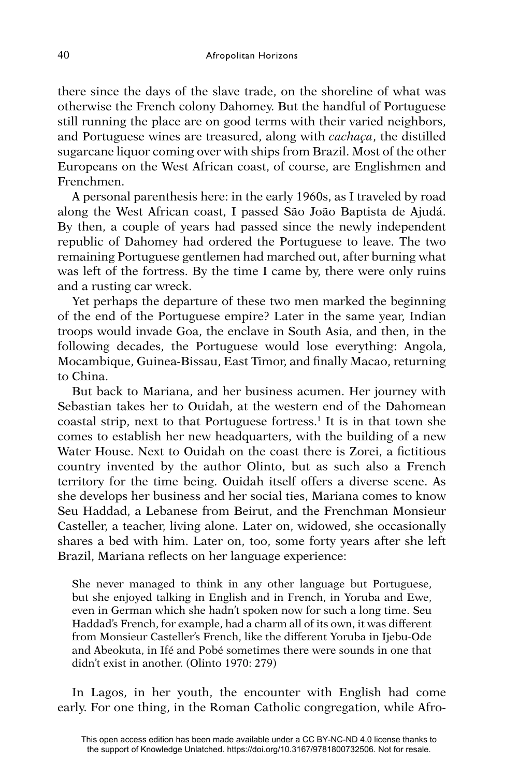there since the days of the slave trade, on the shoreline of what was otherwise the French colony Dahomey. But the handful of Portuguese still running the place are on good terms with their varied neighbors, and Portuguese wines are treasured, along with *cachaça*, the distilled sugarcane liquor coming over with ships from Brazil. Most of the other Europeans on the West African coast, of course, are Englishmen and Frenchmen.

A personal parenthesis here: in the early 1960s, as I traveled by road along the West African coast, I passed São João Baptista de Ajudá. By then, a couple of years had passed since the newly independent republic of Dahomey had ordered the Portuguese to leave. The two remaining Portuguese gentlemen had marched out, after burning what was left of the fortress. By the time I came by, there were only ruins and a rusting car wreck.

Yet perhaps the departure of these two men marked the beginning of the end of the Portuguese empire? Later in the same year, Indian troops would invade Goa, the enclave in South Asia, and then, in the following decades, the Portuguese would lose everything: Angola, Mocambique, Guinea-Bissau, East Timor, and finally Macao, returning to China.

But back to Mariana, and her business acumen. Her journey with Sebastian takes her to Ouidah, at the western end of the Dahomean coastal strip, next to that Portuguese fortress.<sup>1</sup> It is in that town she comes to establish her new headquarters, with the building of a new Water House. Next to Ouidah on the coast there is Zorei, a fictitious country invented by the author Olinto, but as such also a French territory for the time being. Ouidah itself offers a diverse scene. As she develops her business and her social ties, Mariana comes to know Seu Haddad, a Lebanese from Beirut, and the Frenchman Monsieur Casteller, a teacher, living alone. Later on, widowed, she occasionally shares a bed with him. Later on, too, some forty years after she left Brazil, Mariana reflects on her language experience:

She never managed to think in any other language but Portuguese, but she enjoyed talking in English and in French, in Yoruba and Ewe, even in German which she hadn't spoken now for such a long time. Seu Haddad's French, for example, had a charm all of its own, it was different from Monsieur Casteller's French, like the different Yoruba in Ijebu-Ode and Abeokuta, in Ifé and Pobé sometimes there were sounds in one that didn't exist in another. (Olinto 1970: 279)

In Lagos, in her youth, the encounter with English had come early. For one thing, in the Roman Catholic congregation, while Afro-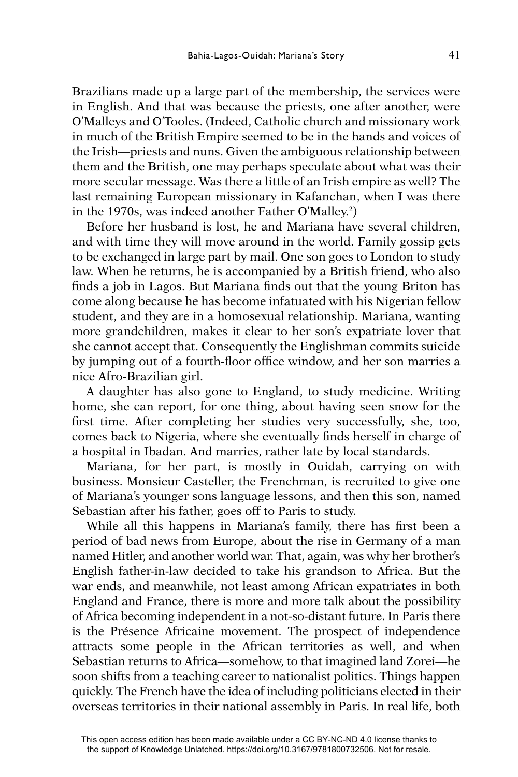Brazilians made up a large part of the membership, the services were in English. And that was because the priests, one after another, were O'Malleys and O'Tooles. (Indeed, Catholic church and missionary work in much of the British Empire seemed to be in the hands and voices of the Irish—priests and nuns. Given the ambiguous relationship between them and the British, one may perhaps speculate about what was their more secular message. Was there a little of an Irish empire as well? The last remaining European missionary in Kafanchan, when I was there in the 1970s, was indeed another Father O'Malley.2 )

Before her husband is lost, he and Mariana have several children, and with time they will move around in the world. Family gossip gets to be exchanged in large part by mail. One son goes to London to study law. When he returns, he is accompanied by a British friend, who also finds a job in Lagos. But Mariana finds out that the young Briton has come along because he has become infatuated with his Nigerian fellow student, and they are in a homosexual relationship. Mariana, wanting more grandchildren, makes it clear to her son's expatriate lover that she cannot accept that. Consequently the Englishman commits suicide by jumping out of a fourth-floor office window, and her son marries a nice Afro-Brazilian girl.

A daughter has also gone to England, to study medicine. Writing home, she can report, for one thing, about having seen snow for the first time. After completing her studies very successfully, she, too, comes back to Nigeria, where she eventually finds herself in charge of a hospital in Ibadan. And marries, rather late by local standards.

Mariana, for her part, is mostly in Ouidah, carrying on with business. Monsieur Casteller, the Frenchman, is recruited to give one of Mariana's younger sons language lessons, and then this son, named Sebastian after his father, goes off to Paris to study.

While all this happens in Mariana's family, there has first been a period of bad news from Europe, about the rise in Germany of a man named Hitler, and another world war. That, again, was why her brother's English father-in-law decided to take his grandson to Africa. But the war ends, and meanwhile, not least among African expatriates in both England and France, there is more and more talk about the possibility of Africa becoming independent in a not-so-distant future. In Paris there is the Présence Africaine movement. The prospect of independence attracts some people in the African territories as well, and when Sebastian returns to Africa—somehow, to that imagined land Zorei—he soon shifts from a teaching career to nationalist politics. Things happen quickly. The French have the idea of including politicians elected in their overseas territories in their national assembly in Paris. In real life, both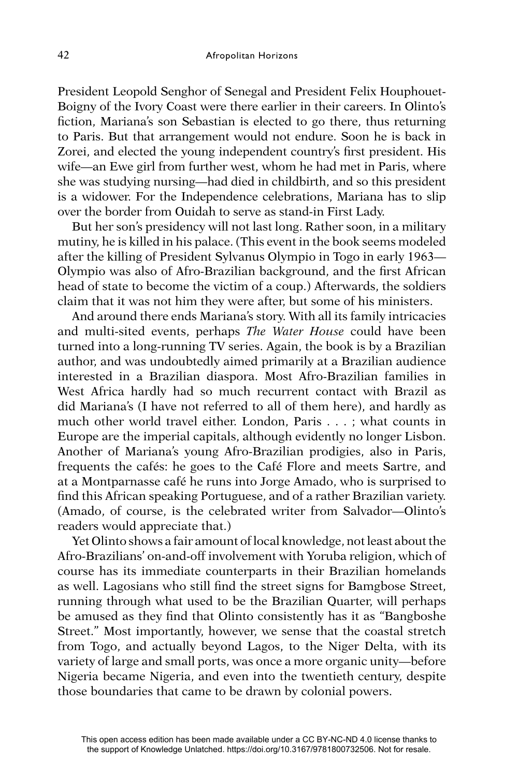President Leopold Senghor of Senegal and President Felix Houphouet-Boigny of the Ivory Coast were there earlier in their careers. In Olinto's fiction, Mariana's son Sebastian is elected to go there, thus returning to Paris. But that arrangement would not endure. Soon he is back in Zorei, and elected the young independent country's first president. His wife—an Ewe girl from further west, whom he had met in Paris, where she was studying nursing—had died in childbirth, and so this president is a widower. For the Independence celebrations, Mariana has to slip over the border from Ouidah to serve as stand-in First Lady.

But her son's presidency will not last long. Rather soon, in a military mutiny, he is killed in his palace. (This event in the book seems modeled after the killing of President Sylvanus Olympio in Togo in early 1963— Olympio was also of Afro-Brazilian background, and the first African head of state to become the victim of a coup.) Afterwards, the soldiers claim that it was not him they were after, but some of his ministers.

And around there ends Mariana's story. With all its family intricacies and multi-sited events, perhaps *The Water House* could have been turned into a long-running TV series. Again, the book is by a Brazilian author, and was undoubtedly aimed primarily at a Brazilian audience interested in a Brazilian diaspora. Most Afro-Brazilian families in West Africa hardly had so much recurrent contact with Brazil as did Mariana's (I have not referred to all of them here), and hardly as much other world travel either. London, Paris . . . ; what counts in Europe are the imperial capitals, although evidently no longer Lisbon. Another of Mariana's young Afro-Brazilian prodigies, also in Paris, frequents the cafés: he goes to the Café Flore and meets Sartre, and at a Montparnasse café he runs into Jorge Amado, who is surprised to find this African speaking Portuguese, and of a rather Brazilian variety. (Amado, of course, is the celebrated writer from Salvador—Olinto's readers would appreciate that.)

Yet Olinto shows a fair amount of local knowledge, not least about the Afro-Brazilians' on-and-off involvement with Yoruba religion, which of course has its immediate counterparts in their Brazilian homelands as well. Lagosians who still find the street signs for Bamgbose Street, running through what used to be the Brazilian Quarter, will perhaps be amused as they find that Olinto consistently has it as "Bangboshe Street." Most importantly, however, we sense that the coastal stretch from Togo, and actually beyond Lagos, to the Niger Delta, with its variety of large and small ports, was once a more organic unity—before Nigeria became Nigeria, and even into the twentieth century, despite those boundaries that came to be drawn by colonial powers.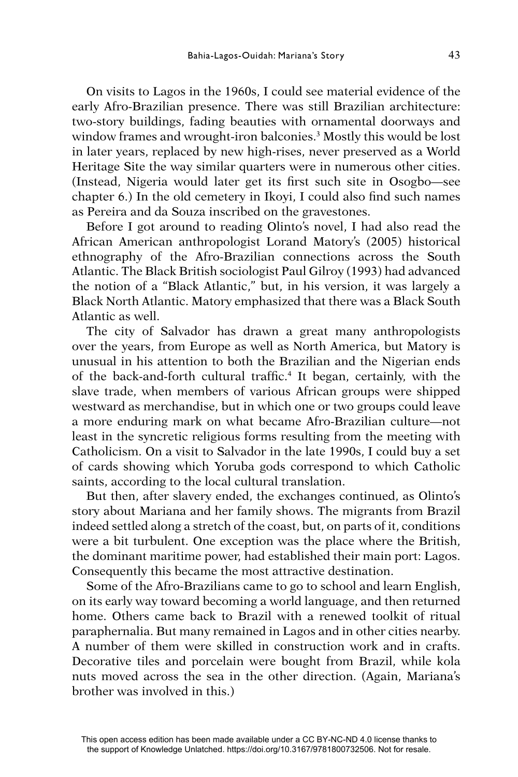On visits to Lagos in the 1960s, I could see material evidence of the early Afro-Brazilian presence. There was still Brazilian architecture: two-story buildings, fading beauties with ornamental doorways and window frames and wrought-iron balconies.3 Mostly this would be lost in later years, replaced by new high-rises, never preserved as a World Heritage Site the way similar quarters were in numerous other cities. (Instead, Nigeria would later get its first such site in Osogbo-see chapter 6.) In the old cemetery in Ikoyi, I could also find such names as Pereira and da Souza inscribed on the gravestones.

Before I got around to reading Olinto's novel, I had also read the African American anthropologist Lorand Matory's (2005) historical ethnography of the Afro-Brazilian connections across the South Atlantic. The Black British sociologist Paul Gilroy (1993) had advanced the notion of a "Black Atlantic," but, in his version, it was largely a Black North Atlantic. Matory emphasized that there was a Black South Atlantic as well.

The city of Salvador has drawn a great many anthropologists over the years, from Europe as well as North America, but Matory is unusual in his attention to both the Brazilian and the Nigerian ends of the back-and-forth cultural traffic.<sup>4</sup> It began, certainly, with the slave trade, when members of various African groups were shipped westward as merchandise, but in which one or two groups could leave a more enduring mark on what became Afro-Brazilian culture—not least in the syncretic religious forms resulting from the meeting with Catholicism. On a visit to Salvador in the late 1990s, I could buy a set of cards showing which Yoruba gods correspond to which Catholic saints, according to the local cultural translation.

But then, after slavery ended, the exchanges continued, as Olinto's story about Mariana and her family shows. The migrants from Brazil indeed settled along a stretch of the coast, but, on parts of it, conditions were a bit turbulent. One exception was the place where the British, the dominant maritime power, had established their main port: Lagos. Consequently this became the most attractive destination.

Some of the Afro-Brazilians came to go to school and learn English, on its early way toward becoming a world language, and then returned home. Others came back to Brazil with a renewed toolkit of ritual paraphernalia. But many remained in Lagos and in other cities nearby. A number of them were skilled in construction work and in crafts. Decorative tiles and porcelain were bought from Brazil, while kola nuts moved across the sea in the other direction. (Again, Mariana's brother was involved in this.)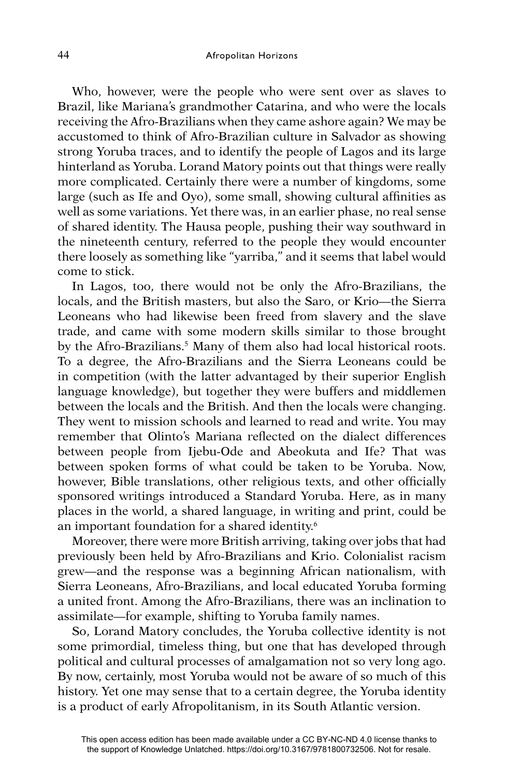Who, however, were the people who were sent over as slaves to Brazil, like Mariana's grandmother Catarina, and who were the locals receiving the Afro-Brazilians when they came ashore again? We may be accustomed to think of Afro-Brazilian culture in Salvador as showing strong Yoruba traces, and to identify the people of Lagos and its large hinterland as Yoruba. Lorand Matory points out that things were really more complicated. Certainly there were a number of kingdoms, some large (such as Ife and Oyo), some small, showing cultural affinities as well as some variations. Yet there was, in an earlier phase, no real sense of shared identity. The Hausa people, pushing their way southward in the nineteenth century, referred to the people they would encounter there loosely as something like "yarriba," and it seems that label would come to stick.

In Lagos, too, there would not be only the Afro-Brazilians, the locals, and the British masters, but also the Saro, or Krio—the Sierra Leoneans who had likewise been freed from slavery and the slave trade, and came with some modern skills similar to those brought by the Afro-Brazilians.<sup>5</sup> Many of them also had local historical roots. To a degree, the Afro-Brazilians and the Sierra Leoneans could be in competition (with the latter advantaged by their superior English language knowledge), but together they were buffers and middlemen between the locals and the British. And then the locals were changing. They went to mission schools and learned to read and write. You may remember that Olinto's Mariana reflected on the dialect differences between people from Ijebu-Ode and Abeokuta and Ife? That was between spoken forms of what could be taken to be Yoruba. Now, however, Bible translations, other religious texts, and other officially sponsored writings introduced a Standard Yoruba. Here, as in many places in the world, a shared language, in writing and print, could be an important foundation for a shared identity.6

Moreover, there were more British arriving, taking over jobs that had previously been held by Afro-Brazilians and Krio. Colonialist racism grew—and the response was a beginning African nationalism, with Sierra Leoneans, Afro-Brazilians, and local educated Yoruba forming a united front. Among the Afro-Brazilians, there was an inclination to assimilate—for example, shifting to Yoruba family names.

So, Lorand Matory concludes, the Yoruba collective identity is not some primordial, timeless thing, but one that has developed through political and cultural processes of amalgamation not so very long ago. By now, certainly, most Yoruba would not be aware of so much of this history. Yet one may sense that to a certain degree, the Yoruba identity is a product of early Afropolitanism, in its South Atlantic version.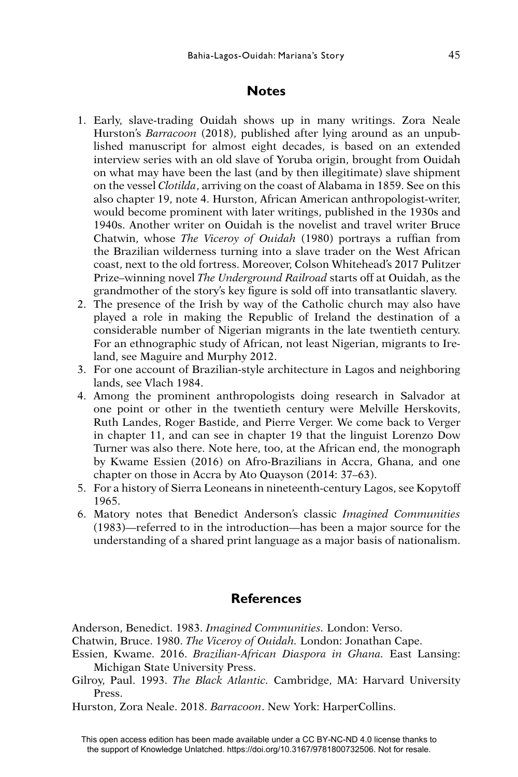## **Notes**

- 1. Early, slave-trading Ouidah shows up in many writings. Zora Neale Hurston's *Barracoon* (2018), published after lying around as an unpublished manuscript for almost eight decades, is based on an extended interview series with an old slave of Yoruba origin, brought from Ouidah on what may have been the last (and by then illegitimate) slave shipment on the vessel *Clotilda*, arriving on the coast of Alabama in 1859. See on this also chapter 19, note 4. Hurston, African American anthropologist-writer, would become prominent with later writings, published in the 1930s and 1940s. Another writer on Ouidah is the novelist and travel writer Bruce Chatwin, whose *The Viceroy of Ouidah* (1980) portrays a ruffian from the Brazilian wilderness turning into a slave trader on the West African coast, next to the old fortress. Moreover, Colson Whitehead's 2017 Pulitzer Prize–winning novel *The Underground Railroad* starts off at Ouidah, as the grandmother of the story's key figure is sold off into transatlantic slavery.
- 2. The presence of the Irish by way of the Catholic church may also have played a role in making the Republic of Ireland the destination of a considerable number of Nigerian migrants in the late twentieth century. For an ethnographic study of African, not least Nigerian, migrants to Ireland, see Maguire and Murphy 2012.
- 3. For one account of Brazilian-style architecture in Lagos and neighboring lands, see Vlach 1984.
- 4. Among the prominent anthropologists doing research in Salvador at one point or other in the twentieth century were Melville Herskovits, Ruth Landes, Roger Bastide, and Pierre Verger. We come back to Verger in chapter 11, and can see in chapter 19 that the linguist Lorenzo Dow Turner was also there. Note here, too, at the African end, the monograph by Kwame Essien (2016) on Afro-Brazilians in Accra, Ghana, and one chapter on those in Accra by Ato Quayson (2014: 37–63).
- 5. For a history of Sierra Leoneans in nineteenth-century Lagos, see Kopytoff 1965.
- 6. Matory notes that Benedict Anderson's classic *Imagined Communities*  (1983)—referred to in the introduction—has been a major source for the understanding of a shared print language as a major basis of nationalism.

## **References**

Anderson, Benedict. 1983. *Imagined Communities.* London: Verso.

- Chatwin, Bruce. 1980. *The Viceroy of Ouidah.* London: Jonathan Cape.
- Essien, Kwame. 2016. *Brazilian-African Diaspora in Ghana.* East Lansing: Michigan State University Press.
- Gilroy, Paul. 1993. *The Black Atlantic.* Cambridge, MA: Harvard University Press.
- Hurston, Zora Neale. 2018. *Barracoon*. New York: HarperCollins.